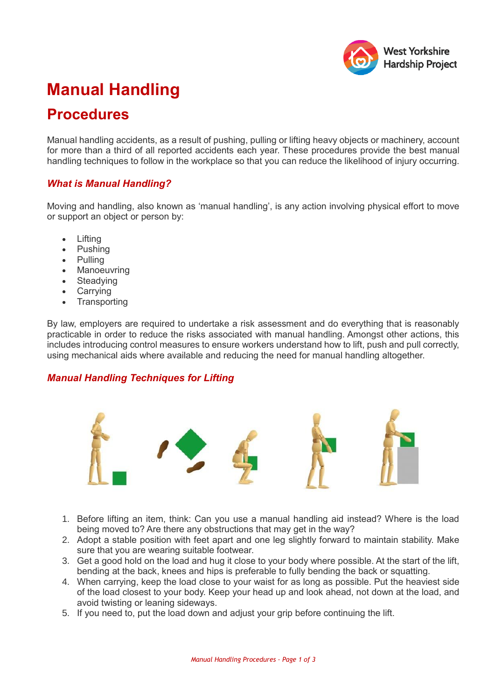

# **Manual Handling**

## **Procedures**

Manual handling accidents, as a result of pushing, pulling or lifting heavy objects or machinery, account for more than a third of all reported accidents each year. These procedures provide the best manual handling techniques to follow in the workplace so that you can reduce the likelihood of injury occurring.

#### *What is Manual Handling?*

Moving and handling, also known as 'manual handling', is any action involving physical effort to move or support an object or person by:

- Lifting
- Pushing
- Pulling
- Manoeuvring
- Steadying
- Carrying
- Transporting

By law, employers are required to undertake a risk assessment and do everything that is reasonably practicable in order to reduce the risks associated with manual handling. Amongst other actions, this includes introducing control measures to ensure workers understand how to lift, push and pull correctly, using mechanical aids where available and reducing the need for manual handling altogether.

#### *Manual Handling Techniques for Lifting*



- 1. Before lifting an item, think: Can you use a manual handling aid instead? Where is the load being moved to? Are there any obstructions that may get in the way?
- 2. Adopt a stable position with feet apart and one leg slightly forward to maintain stability. Make sure that you are wearing suitable footwear.
- 3. Get a good hold on the load and hug it close to your body where possible. At the start of the lift, bending at the back, knees and hips is preferable to fully bending the back or squatting.
- 4. When carrying, keep the load close to your waist for as long as possible. Put the heaviest side of the load closest to your body. Keep your head up and look ahead, not down at the load, and avoid twisting or leaning sideways.
- 5. If you need to, put the load down and adjust your grip before continuing the lift.